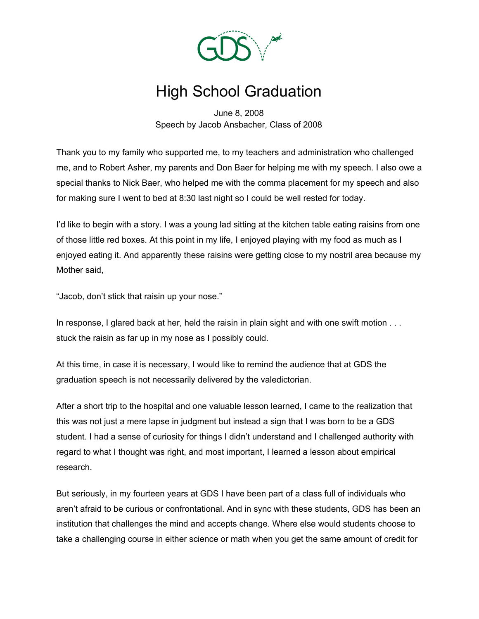

## High School Graduation

June 8, 2008 Speech by Jacob Ansbacher, Class of 2008

Thank you to my family who supported me, to my teachers and administration who challenged me, and to Robert Asher, my parents and Don Baer for helping me with my speech. I also owe a special thanks to Nick Baer, who helped me with the comma placement for my speech and also for making sure I went to bed at 8:30 last night so I could be well rested for today.

I'd like to begin with a story. I was a young lad sitting at the kitchen table eating raisins from one of those little red boxes. At this point in my life, I enjoyed playing with my food as much as I enjoyed eating it. And apparently these raisins were getting close to my nostril area because my Mother said,

"Jacob, don't stick that raisin up your nose."

In response, I glared back at her, held the raisin in plain sight and with one swift motion . . . stuck the raisin as far up in my nose as I possibly could.

At this time, in case it is necessary, I would like to remind the audience that at GDS the graduation speech is not necessarily delivered by the valedictorian.

After a short trip to the hospital and one valuable lesson learned, I came to the realization that this was not just a mere lapse in judgment but instead a sign that I was born to be a GDS student. I had a sense of curiosity for things I didn't understand and I challenged authority with regard to what I thought was right, and most important, I learned a lesson about empirical research.

But seriously, in my fourteen years at GDS I have been part of a class full of individuals who aren't afraid to be curious or confrontational. And in sync with these students, GDS has been an institution that challenges the mind and accepts change. Where else would students choose to take a challenging course in either science or math when you get the same amount of credit for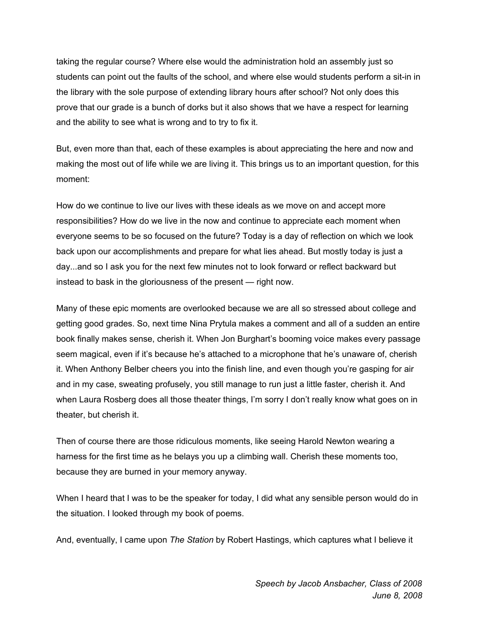taking the regular course? Where else would the administration hold an assembly just so students can point out the faults of the school, and where else would students perform a sit-in in the library with the sole purpose of extending library hours after school? Not only does this prove that our grade is a bunch of dorks but it also shows that we have a respect for learning and the ability to see what is wrong and to try to fix it.

But, even more than that, each of these examples is about appreciating the here and now and making the most out of life while we are living it. This brings us to an important question, for this moment:

How do we continue to live our lives with these ideals as we move on and accept more responsibilities? How do we live in the now and continue to appreciate each moment when everyone seems to be so focused on the future? Today is a day of reflection on which we look back upon our accomplishments and prepare for what lies ahead. But mostly today is just a day...and so I ask you for the next few minutes not to look forward or reflect backward but instead to bask in the gloriousness of the present — right now.

Many of these epic moments are overlooked because we are all so stressed about college and getting good grades. So, next time Nina Prytula makes a comment and all of a sudden an entire book finally makes sense, cherish it. When Jon Burghart's booming voice makes every passage seem magical, even if it's because he's attached to a microphone that he's unaware of, cherish it. When Anthony Belber cheers you into the finish line, and even though you're gasping for air and in my case, sweating profusely, you still manage to run just a little faster, cherish it. And when Laura Rosberg does all those theater things, I'm sorry I don't really know what goes on in theater, but cherish it.

Then of course there are those ridiculous moments, like seeing Harold Newton wearing a harness for the first time as he belays you up a climbing wall. Cherish these moments too, because they are burned in your memory anyway.

When I heard that I was to be the speaker for today, I did what any sensible person would do in the situation. I looked through my book of poems.

And, eventually, I came upon *The Station* by Robert Hastings, which captures what I believe it